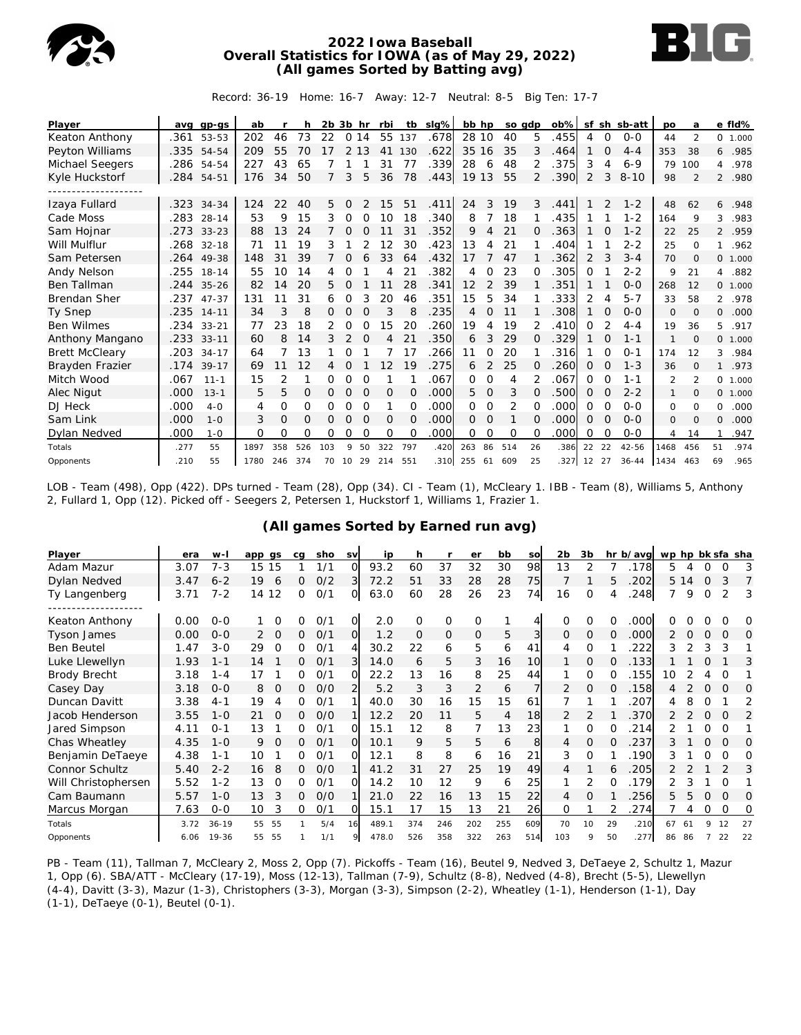

#### **2022 Iowa Baseball Overall Statistics for IOWA (as of May 29, 2022) (All games Sorted by Batting avg)**



Record: 36-19 Home: 16-7 Away: 12-7 Neutral: 8-5 Big Ten: 17-7

| Player                |      | avg gp-gs  | ab   |     | h        | 2b 3b hr |                |          | rbi      | tb       | slg% | bb hp    |          | so gdp   |          | $ob\%$ |          |          | sf sh sb-att | po   | a                        |                | e fld%   |
|-----------------------|------|------------|------|-----|----------|----------|----------------|----------|----------|----------|------|----------|----------|----------|----------|--------|----------|----------|--------------|------|--------------------------|----------------|----------|
| Keaton Anthony        | .361 | 53-53      | 202  | 46  | 73       | 22       |                | 0 14     | 55       | 137      | .678 | 28 10    |          | 40       | 5        | .455   | 4        | $\Omega$ | $0 - 0$      | 44   | $\mathcal{P}$            |                | 0, 1,000 |
| Peyton Williams       | .335 | 54-54      | 209  | 55  | 70       | 17       | 2              | 13       | 41       | 130      | .622 | 35 16    |          | 35       | 3        | .464   |          | 0        | $4 - 4$      | 353  | 38                       | 6              | .985     |
| Michael Seegers       | .286 | 54-54      | 227  | 43  | 65       |          |                |          | 31       | 77       | .339 | 28       | 6        | 48       |          | .375   | 3        | 4        | $6 - 9$      | 79   | 100                      | 4              | .978     |
| Kyle Huckstorf        | .284 | $54 - 51$  | 176  | 34  | 50       | 7        | 3              | 5        | 36       | 78       | .443 | 19 13    |          | 55       | 2        | .390   | 2        | 3        | $8 - 10$     | 98   | $\overline{\mathcal{L}}$ | $\mathcal{P}$  | .980     |
|                       |      |            |      |     |          |          |                |          |          |          |      |          |          |          |          |        |          |          |              |      |                          |                |          |
| Izaya Fullard         |      | .323 34-34 | 124  | 22  | 40       | 5.       | 0              |          | 15       | 51       | .411 | 24       | 3        | 19       | 3        | .441   |          | 2        | $1 - 2$      | 48   | 62                       | 6              | .948     |
| Cade Moss             | .283 | $28 - 14$  | 53   | 9   | 15       | 3        | 0              | 0        | 10       | 18       | .340 | 8        |          | 18       |          | .435   |          |          | $1 - 2$      | 164  | 9                        | 3              | .983     |
| Sam Hojnar            | .273 | $33 - 23$  | 88   | 13  | 24       | 7        | 0              | O        |          | 31       | .352 | 9        | 4        | 21       | O        | .363   |          | 0        | $1 - 2$      | 22   | 25                       | $\overline{2}$ | .959     |
| Will Mulflur          | .268 | $32 - 18$  | 71   | 11  | 19       | 3        |                | 2        | 12       | 30       | .423 | 13       | 4        | 21       |          | .404   |          |          | $2 - 2$      | 25   | $\circ$                  | 1.             | .962     |
| Sam Petersen          | .264 | 49-38      | 148  | 31  | 39       |          | 0              | 6        | 33       | 64       | .432 | 17       |          | 47       |          | .362   | 2        | 3        | $3 - 4$      | 70   | $\Omega$                 |                | 0, 1,000 |
| Andy Nelson           | .255 | $18 - 14$  | 55   | 10  | 14       | 4        | 0              |          | 4        | 21       | .382 | 4        | $\Omega$ | 23       | ∩        | 305    | 0        |          | $2 - 2$      | 9    | 21                       | 4              | .882     |
| Ben Tallman           | .244 | $35 - 26$  | 82   | 14  | 20       | 5.       | $\Omega$       |          | 11       | 28       | .341 | 12       | 2        | 39       |          | 351    |          |          | $O - O$      | 268  | 12                       |                | 0, 1,000 |
| <b>Brendan Sher</b>   | .237 | $47 - 37$  | 131  | 11  | 31       | 6        | 0              | 3        | 20       | 46       | .351 | 15       | 5        | 34       |          | 333.   | 2        | 4        | $5 - 7$      | 33   | 58                       | $\overline{2}$ | .978     |
| Ty Snep               |      | .235 14-11 | 34   | 3   | 8        | 0        | $\overline{0}$ | 0        | 3        | 8        | .235 | 4        | $\Omega$ | 11       |          | .308   |          | 0        | $O - O$      | 0    | $\Omega$                 | 0              | .000     |
| <b>Ben Wilmes</b>     | .234 | $33 - 21$  | 77   | 23  | 18       | 2        |                | $\Omega$ | 15       | 20       | .260 | 19       | 4        | 19       |          | .410   | 0        | 2        | $4 - 4$      | 19   | 36                       | 5.             | .917     |
| Anthony Mangano       | .233 | $33 - 11$  | 60   | 8   | 14       | 3        | 2              | 0        | 4        | 21       | .350 | 6        | 3        | 29       | $\Omega$ | .329   |          | O        | $1 - 1$      |      | $\Omega$                 |                | 0 1.000  |
| <b>Brett McCleary</b> | .203 | $34 - 17$  | 64   |     | 13       |          | 0              |          |          | 17       | 266  | 11       | $\Omega$ | 20       |          | 316    |          | 0        | $0 - 1$      | 174  | 12                       | 3              | .984     |
| Brayden Frazier       | .174 | $39 - 17$  | 69   | 11  | 12       | 4        | 0              |          | 12       | 19       | .275 | 6        | 2        | 25       | $\Omega$ | 260    | 0        | 0        | $1 - 3$      | 36   | $\Omega$                 | $\mathbf{1}$   | .973     |
| Mitch Wood            | .067 | $11 - 1$   | 15   | 2   | 1        | 0        | 0              | $\Omega$ |          |          | .067 | 0        | $\Omega$ | 4        |          | .067   | 0        | $\Omega$ | $1 - 1$      | 2    | $\mathfrak{p}$           |                | 0 1.000  |
| Alec Nigut            | .000 | $13 - 1$   | 5    | 5   | 0        | 0        | 0              | 0        | 0        | 0        | .000 | 5.       | 0        | 3        | 0        | .500   | 0        | 0        | $2 - 2$      | 1    | $\Omega$                 |                | 0, 1,000 |
| DJ Heck               | .000 | $4-0$      | 4    | 0   | $\Omega$ | 0        | 0              | $\Omega$ | 1        | 0        | .000 | 0        | $\Omega$ | 2        | $\Omega$ | .000   | 0        | $\Omega$ | $O - O$      | 0    | $\Omega$                 | 0              | .000     |
| Sam Link              | .000 | $1 - 0$    | 3    | O   | $\Omega$ | 0        | $\Omega$       | $\Omega$ | $\Omega$ | $\Omega$ | .000 | $\Omega$ | 0        |          | $\Omega$ | .000   | $\Omega$ | $\Omega$ | $O - O$      | 0    | $\Omega$                 | 0              | .000     |
| Dylan Nedved          | .000 | $1 - 0$    | O    | 0   | O        | 0        | 0              | $\Omega$ | $\Omega$ | 0        | .000 | $\Omega$ | $\Omega$ | $\Omega$ | $\Omega$ | .000   | 0        | 0        | $0 - 0$      | 4    | 14                       |                | .947     |
| Totals                | .277 | 55         | 1897 | 358 | 526      | 103      | 9              | 50       | 322      | 797      | .420 | 263      | 86       | 514      | 26       | .386   | 22       | 22       | $42 - 56$    | 1468 | 456                      | 51             | .974     |
| Opponents             | .210 | 55         | 1780 | 246 | 374      | 70       | 10             | 29       | 214      | 551      | .310 | 255      | 61       | 609      | 25       | .327   | 12       | 27       | $36 - 44$    | 1434 | 463                      | 69             | .965     |

LOB - Team (498), Opp (422). DPs turned - Team (28), Opp (34). CI - Team (1), McCleary 1. IBB - Team (8), Williams 5, Anthony 2, Fullard 1, Opp (12). Picked off - Seegers 2, Petersen 1, Huckstorf 1, Williams 1, Frazier 1.

| Player              | era  | $W -$     | app gs         | ca | sho | <b>SV</b> | ip    | h        |             | er             | bb  | SO  | 2 <sub>b</sub> | 3 <sub>b</sub> |          | hr b/avg | wp hp bk sfa sha |      |          |          |          |
|---------------------|------|-----------|----------------|----|-----|-----------|-------|----------|-------------|----------------|-----|-----|----------------|----------------|----------|----------|------------------|------|----------|----------|----------|
| Adam Mazur          | 3.07 | $7 - 3$   | 15<br>15       |    | 1/1 | $\Omega$  | 93.2  | 60       | 37          | 32             | 30  | 98  | 13             | 2              |          | 178      | 5                | 4    | Ω        | O        | 3        |
| Dylan Nedved        | 3.47 | $6 - 2$   | 19<br>6        | 0  | O/2 | 3         | 72.2  | 51       | 33          | 28             | 28  | 75  |                |                | 5        | .202     |                  | 5 14 | 0        | 3        | 7        |
| Ty Langenberg       | 3.71 | $7 - 2$   | 14 12          | 0  | 0/1 | 0         | 63.0  | 60       | 28          | 26             | 23  | 74  | 16             | $\Omega$       | 4        | .248     |                  | 9    | $\Omega$ |          | 3        |
|                     |      |           |                |    |     |           |       |          |             |                |     |     |                |                |          |          |                  |      |          |          |          |
| Keaton Anthony      | 0.00 | $0 - 0$   | 0              | 0  | O/1 | $\Omega$  | 2.0   | $\Omega$ | $\mathbf 0$ | $\Omega$       |     |     | $\Omega$       | $\Omega$       | 0        | .000     |                  |      |          |          | Ω        |
| <b>Tyson James</b>  | 0.00 | $0 - 0$   | $\Omega$<br>2  | 0  | O/1 | $\Omega$  | 1.2   | $\Omega$ | 0           | 0              | 5   | 3   | 0              | 0              | $\Omega$ | .000     | 2                |      | 0        | $\Omega$ | 0        |
| <b>Ben Beutel</b>   | 1.47 | $3 - 0$   | 29<br>$\Omega$ | Ω  | 0/1 | 4         | 30.2  | 22       | 6           | 5              | 6   | 41  | 4              | O              |          | 222      | 3                |      | 3        | 3        |          |
| Luke Llewellyn      | 1.93 | $1 - 1$   | 14             | 0  | 0/1 | 3         | 14.0  | 6        | 5           | 3              | 16  | 10  |                | 0              | $\Omega$ | .133     |                  |      | Ω        |          | 3        |
| <b>Brody Brecht</b> | 3.18 | $1 - 4$   | 17             | 0  | O/1 | $\Omega$  | 22.2  | 13       | 16          | 8              | 25  | 44  |                | $\Omega$       | O        | .155     | 10               |      |          |          |          |
| Casey Day           | 3.18 | $0 - 0$   | $\Omega$<br>8  | 0  | O/O | 21        | 5.2   | 3        | 3           | $\overline{2}$ | 6   |     |                | $\Omega$       | $\Omega$ | .158     | 4                |      | 0        | $\Omega$ | $\Omega$ |
| Duncan Davitt       | 3.38 | 4-1       | 19<br>4        | 0  | 0/1 |           | 40.0  | 30       | 16          | 15             | 15  | 61  |                |                |          | 207      | 4                | 8    | O        |          | 2        |
| Jacob Henderson     | 3.55 | $1 - 0$   | 21<br>O        | 0  | O/O |           | 12.2  | 20       | 11          | 5              | 4   | 18  | $\overline{2}$ | $\overline{2}$ |          | .370     |                  |      | $\Omega$ | $\Omega$ | 2        |
| Jared Simpson       | 4.11 | $O - 1$   | 13             | 0  | 0/1 | O         | 15.1  | 12       | 8           | 7              | 13  | 23  |                | $\Omega$       |          | 214      |                  |      | O        | $\Omega$ |          |
| Chas Wheatley       | 4.35 | $1 - 0$   | 9<br>$\Omega$  | 0  | 0/1 | $\Omega$  | 10.1  | 9        | 5           | 5              | 6   | 8   | 4              | $\mathcal{O}$  | $\Omega$ | .237     | 3                |      | 0        | $\Omega$ | 0        |
| Benjamin DeTaeye    | 4.38 | 1-1       | 10             | 0  | 0/1 | O         | 12.1  | 8        | 8           | 6              | 16  | 21  | 3              | $\Omega$       |          | .190     | 3                |      |          | ∩        | Ω        |
| Connor Schultz      | 5.40 | $2 - 2$   | 8<br>16        | 0  | O/O |           | 41.2  | 31       | 27          | 25             | 19  | 49  | 4              |                | 6        | .205     |                  |      |          |          | 3        |
| Will Christophersen | 5.52 | $1 - 2$   | 13<br>$\Omega$ | 0  | 0/1 | ∩         | 14.2  | 10       | 12          | 9              | 6   | 25  |                | 2              | ∩        | 179      |                  |      |          | O        |          |
| Cam Baumann         | 5.57 | $1 - 0$   | 3<br>13        | 0  | O/O |           | 21.0  | 22       | 16          | 13             | 15  | 22  | 4              | O              |          | 256      | 5                | 5    | 0        | $\Omega$ | O        |
| Marcus Morgan       | 7.63 | $O-O$     | 3<br>10        | 0  | 0/1 | 0         | 15.1  | 17       | 15          | 13             | 21  | 26  | 0              |                |          | .274     |                  |      | 0        | O        | 0        |
| Totals              | 3.72 | $36 - 19$ | 55<br>55       |    | 5/4 | 16        | 489.1 | 374      | 246         | 202            | 255 | 609 | 70             | 10             | 29       | .210     | 67               | 61   | 9        | 12       | 27       |
| Opponents           | 6.06 | 19-36     | 55<br>55       |    | 1/1 |           | 478.0 | 526      | 358         | 322            | 263 | 514 | 103            |                | 50       | 277      | 86               | 86   |          | 22       | 22       |

## **(All games Sorted by Earned run avg)**

PB - Team (11), Tallman 7, McCleary 2, Moss 2, Opp (7). Pickoffs - Team (16), Beutel 9, Nedved 3, DeTaeye 2, Schultz 1, Mazur 1, Opp (6). SBA/ATT - McCleary (17-19), Moss (12-13), Tallman (7-9), Schultz (8-8), Nedved (4-8), Brecht (5-5), Llewellyn (4-4), Davitt (3-3), Mazur (1-3), Christophers (3-3), Morgan (3-3), Simpson (2-2), Wheatley (1-1), Henderson (1-1), Day (1-1), DeTaeye (0-1), Beutel (0-1).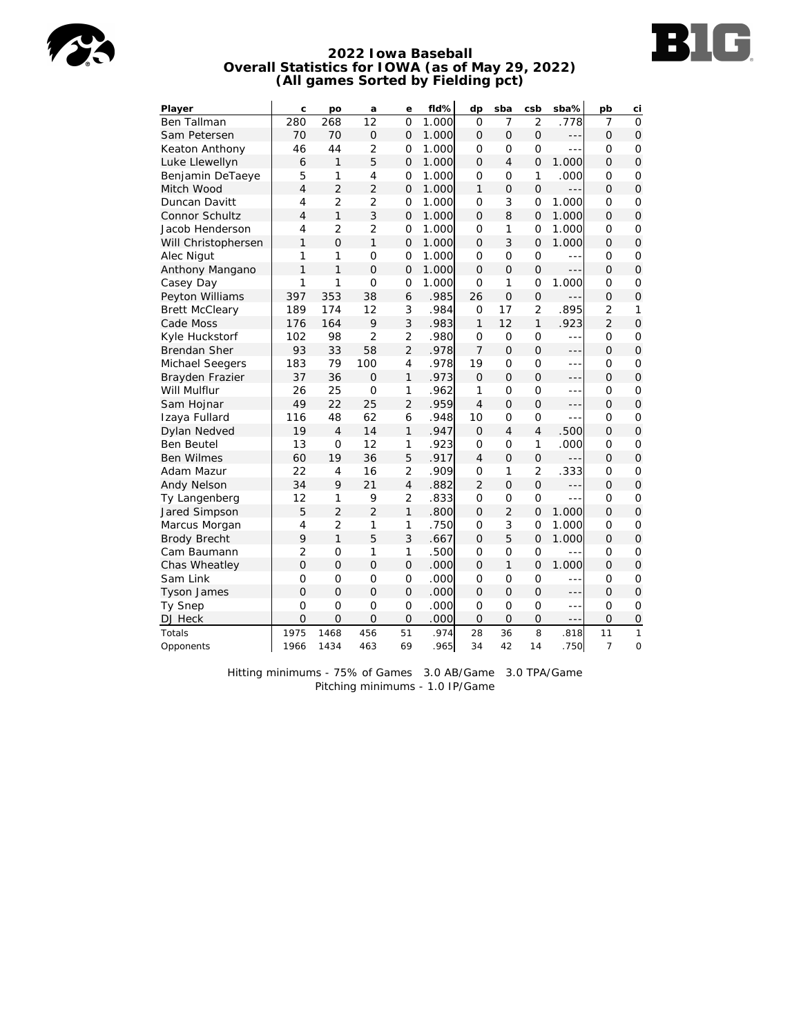

# **BIG**

#### **2022 Iowa Baseball Overall Statistics for IOWA (as of May 29, 2022) (All games Sorted by Fielding pct)**

| Player                | С              | po             | a               | е              | fld%  | dp             | sba            | csb            | sba%    | pb             | ci             |
|-----------------------|----------------|----------------|-----------------|----------------|-------|----------------|----------------|----------------|---------|----------------|----------------|
| <b>Ben Tallman</b>    | 280            | 268            | $\overline{12}$ | $\Omega$       | 1.000 | $\Omega$       | $\overline{7}$ | $\overline{2}$ | .778    | $\overline{7}$ | $\Omega$       |
| Sam Petersen          | 70             | 70             | $\overline{O}$  | $\overline{O}$ | 1.000 | $\Omega$       | $\Omega$       | $\overline{O}$ | ---     | $\Omega$       | $\overline{O}$ |
| Keaton Anthony        | 46             | 44             | $\overline{2}$  | 0              | 1.000 | O              | 0              | 0              | $- - -$ | 0              | $\mathsf{O}$   |
| Luke Llewellyn        | 6              | 1              | 5               | 0              | 1.000 | $\mathcal{O}$  | 4              | $\overline{O}$ | 1.000   | $\mathcal{O}$  | $\overline{O}$ |
| Benjamin DeTaeye      | 5              | 1              | $\overline{4}$  | 0              | 1.000 | O              | $\mathbf 0$    | 1              | .000    | O              | $\mathbf 0$    |
| Mitch Wood            | $\overline{4}$ | $\overline{2}$ | $\overline{2}$  | $\overline{O}$ | 1.000 | 1              | $\overline{O}$ | $\overline{O}$ | $- - -$ | $\Omega$       | $\mathsf O$    |
| Duncan Davitt         | $\overline{4}$ | $\overline{2}$ | $\overline{2}$  | 0              | 1.000 | O              | 3              | 0              | 1.000   | O              | $\overline{O}$ |
| Connor Schultz        | $\overline{4}$ | $\mathbf{1}$   | 3               | $\overline{O}$ | 1.000 | $\Omega$       | 8              | $\mathbf 0$    | 1.000   | $\overline{O}$ | $\mathbf{O}$   |
| Jacob Henderson       | $\overline{4}$ | $\overline{2}$ | $\overline{2}$  | $\overline{O}$ | 1.000 | O              | 1              | $\mathbf 0$    | 1.000   | O              | 0              |
| Will Christophersen   | 1              | $\Omega$       | $\mathbf{1}$    | 0              | 1.000 | $\mathcal{O}$  | 3              | 0              | 1.000   | $\mathcal{O}$  | $\overline{O}$ |
| Alec Nigut            | 1              | 1              | $\mathbf 0$     | $\overline{O}$ | 1.000 | O              | $\overline{O}$ | $\overline{O}$ | $- - -$ | O              | $\overline{O}$ |
| Anthony Mangano       | $\mathbf{1}$   | $\mathbf{1}$   | $\overline{O}$  | $\mathbf 0$    | 1.000 | $\Omega$       | $\overline{O}$ | $\mathbf 0$    | ---     | $\Omega$       | $\mathbf{O}$   |
| Casey Day             | 1              | 1              | $\overline{O}$  | $\overline{O}$ | 1.000 | $\mathbf 0$    | 1              | $\mathbf 0$    | 1.000   | $\mathbf 0$    | $\mathbf 0$    |
| Peyton Williams       | 397            | 353            | 38              | 6              | .985  | 26             | $\overline{O}$ | $\mathbf 0$    | ---     | $\overline{O}$ | $\mathsf O$    |
| <b>Brett McCleary</b> | 189            | 174            | 12              | 3              | .984  | O              | 17             | $\overline{2}$ | .895    | $\overline{2}$ | 1              |
| Cade Moss             | 176            | 164            | 9               | 3              | .983  | 1              | 12             | $\mathbf{1}$   | .923    | $\overline{2}$ | $\overline{O}$ |
| Kyle Huckstorf        | 102            | 98             | $\overline{2}$  | $\overline{2}$ | .980  | O              | 0              | 0              | ---     | O              | $\mathbf 0$    |
| <b>Brendan Sher</b>   | 93             | 33             | 58              | $\overline{2}$ | .978  | $\overline{7}$ | $\overline{O}$ | $\overline{O}$ | ---     | $\Omega$       | $\mathbf 0$    |
| Michael Seegers       | 183            | 79             | 100             | $\overline{4}$ | .978  | 19             | $\overline{O}$ | $\mathbf 0$    | $- - -$ | $\mathbf 0$    | $\mathbf 0$    |
| Brayden Frazier       | 37             | 36             | $\Omega$        | $\mathbf{1}$   | .973  | $\Omega$       | $\Omega$       | $\overline{O}$ | ---     | $\Omega$       | $\overline{O}$ |
| Will Mulflur          | 26             | 25             | $\mathcal{O}$   | 1              | .962  | 1              | O              | 0              | ---     | O              | 0              |
| Sam Hojnar            | 49             | 22             | 25              | $\overline{2}$ | .959  | 4              | $\mathbf 0$    | $\mathbf 0$    | $- - -$ | $\Omega$       | $\mathbf{O}$   |
| Izaya Fullard         | 116            | 48             | 62              | 6              | .948  | 10             | $\overline{O}$ | $\mathbf 0$    | ÷÷      | O              | $\mathbf 0$    |
| Dylan Nedved          | 19             | $\overline{4}$ | 14              | $\mathbf{1}$   | .947  | $\Omega$       | $\overline{4}$ | $\overline{4}$ | .500    | $\Omega$       | $\overline{O}$ |
| <b>Ben Beutel</b>     | 13             | $\overline{0}$ | 12              | 1              | .923  | $\circ$        | $\overline{O}$ | 1              | .000    | $\circ$        | $\overline{O}$ |
| <b>Ben Wilmes</b>     | 60             | 19             | 36              | 5              | .917  | $\overline{4}$ | $\overline{O}$ | $\overline{O}$ | $- - -$ | $\Omega$       | $\mathbf{O}$   |
| Adam Mazur            | 22             | 4              | 16              | $\overline{2}$ | .909  | O              | 1              | 2              | .333    | O              | $\mathbf 0$    |
| Andy Nelson           | 34             | 9              | 21              | $\overline{4}$ | .882  | $\overline{2}$ | $\overline{O}$ | $\overline{O}$ | $- - -$ | $\Omega$       | $\mathsf O$    |
| Ty Langenberg         | 12             | 1              | 9               | $\overline{2}$ | .833  | $\overline{O}$ | $\overline{O}$ | $\overline{O}$ | $- - -$ | 0              | $\overline{O}$ |
| Jared Simpson         | 5              | $\overline{2}$ | $\overline{2}$  | $\mathbf{1}$   | .800  | $\Omega$       | $\overline{2}$ | 0              | 1.000   | $\Omega$       | $\mathbf{O}$   |
| Marcus Morgan         | 4              | $\overline{2}$ | 1               | 1              | .750  | O              | 3              | $\mathbf 0$    | 1.000   | O              | $\mathsf{O}$   |
| <b>Brody Brecht</b>   | 9              | $\mathbf{1}$   | 5               | 3              | .667  | $\Omega$       | 5              | $\overline{O}$ | 1.000   | $\Omega$       | $\mathbf{O}$   |
| Cam Baumann           | $\overline{2}$ | $\overline{O}$ | 1               | 1              | .500  | O              | $\overline{O}$ | 0              | $- - -$ | O              | O              |
| Chas Wheatley         | $\overline{O}$ | $\Omega$       | $\overline{O}$  | $\overline{O}$ | .000  | $\Omega$       | 1              | $\overline{O}$ | 1.000   | $\Omega$       | $\overline{O}$ |
| Sam Link              | 0              | $\mathbf 0$    | $\mathbf 0$     | $\mathbf 0$    | .000  | O              | $\mathbf 0$    | $\mathbf 0$    | ---     | O              | 0              |
| <b>Tyson James</b>    | $\overline{O}$ | $\Omega$       | $\Omega$        | $\overline{O}$ | .000  | $\Omega$       | $\overline{O}$ | $\overline{O}$ | ---     | $\Omega$       | $\mathbf 0$    |
| Ty Snep               | $\overline{O}$ | $\Omega$       | $\overline{O}$  | $\mathbf 0$    | .000  | $\Omega$       | $\overline{O}$ | $\mathbf 0$    | $- - -$ | $\Omega$       | $\mathbf 0$    |
| DJ Heck               | $\Omega$       | $\overline{O}$ | $\Omega$        | $\overline{O}$ | .000  | $\Omega$       | $\Omega$       | 0              | ---     | $\Omega$       | $\mathsf O$    |
| Totals                | 1975           | 1468           | 456             | 51             | .974  | 28             | 36             | 8              | .818    | 11             | $\mathbf{1}$   |
| Opponents             | 1966           | 1434           | 463             | 69             | .965  | 34             | 42             | 14             | .750    | $\overline{7}$ | $\mathbf 0$    |

Hitting minimums - 75% of Games 3.0 AB/Game 3.0 TPA/Game Pitching minimums - 1.0 IP/Game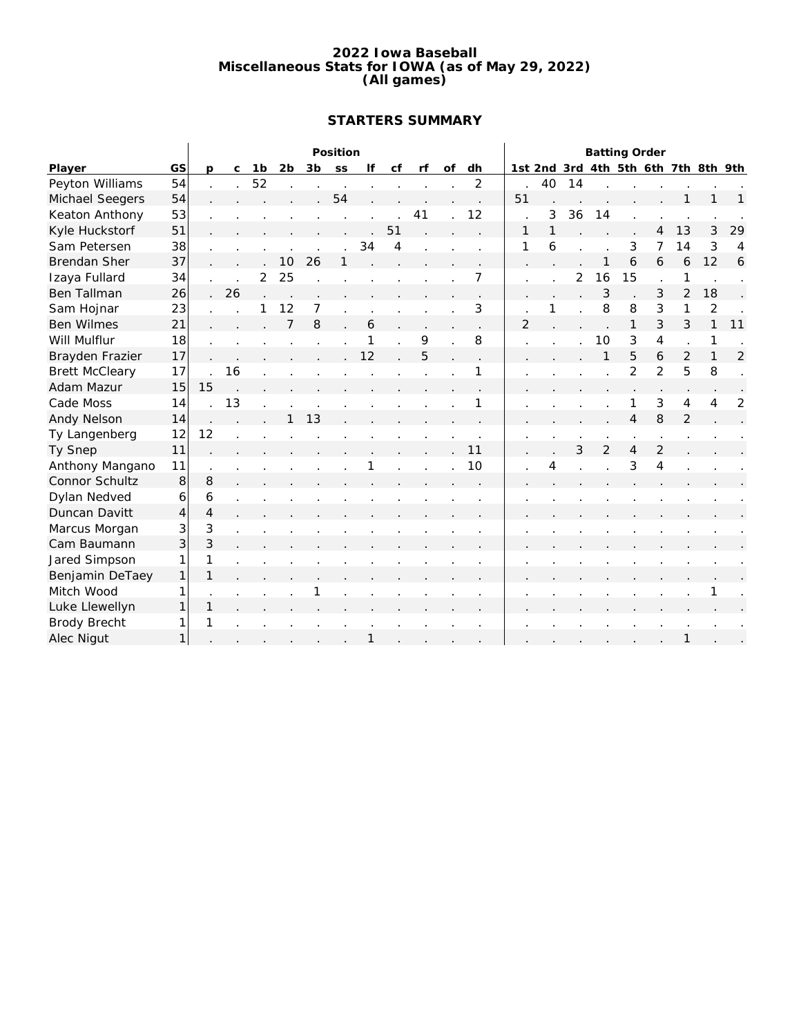#### **2022 Iowa Baseball Miscellaneous Stats for IOWA (as of May 29, 2022) (All games)**

# **STARTERS SUMMARY**

|                       |    |                |    |                |    |    | Position |              |    |    |    |                |                |    |    | <b>Batting Order</b> |                |                          |                |                                     |                |
|-----------------------|----|----------------|----|----------------|----|----|----------|--------------|----|----|----|----------------|----------------|----|----|----------------------|----------------|--------------------------|----------------|-------------------------------------|----------------|
| Player                | GS | <sub>D</sub>   | C  | 1 <sub>b</sub> | 2b | 3b | SS       | lf           | Cf | rf | of | dh             |                |    |    |                      |                |                          |                | 1st 2nd 3rd 4th 5th 6th 7th 8th 9th |                |
| Peyton Williams       | 54 |                |    | 52             |    |    |          |              |    |    |    | $\overline{2}$ |                | 40 | 14 |                      |                |                          |                |                                     |                |
| Michael Seegers       | 54 |                |    |                |    |    | 54       |              |    |    |    |                | 51             |    |    |                      |                |                          |                |                                     | 1              |
| Keaton Anthony        | 53 |                |    |                |    |    |          |              |    | 41 |    | 12             |                | 3  | 36 | 14                   |                |                          |                |                                     |                |
| Kyle Huckstorf        | 51 |                |    |                |    |    |          |              | 51 |    |    |                | 1              |    |    |                      |                | 4                        | 13             | 3                                   | 29             |
| Sam Petersen          | 38 |                |    |                |    |    |          | 34           | 4  |    |    |                | 1              | 6  |    |                      | 3              | 7                        | 14             | 3                                   | 4              |
| <b>Brendan Sher</b>   | 37 |                |    |                | 10 | 26 |          |              |    |    |    |                |                |    |    |                      | 6              | 6                        | 6              | 12                                  | 6              |
| Izaya Fullard         | 34 |                |    | $\overline{2}$ | 25 |    |          |              |    |    |    | 7              |                |    | 2  | 16                   | 15             |                          | 1              |                                     |                |
| Ben Tallman           | 26 |                | 26 |                |    |    |          |              |    |    |    |                |                |    |    | 3                    |                | 3                        | $\overline{2}$ | 18                                  |                |
| Sam Hojnar            | 23 |                |    |                | 12 |    |          |              |    |    |    | 3              |                |    |    | 8                    | 8              | 3                        | 1              | 2                                   |                |
| <b>Ben Wilmes</b>     | 21 |                |    |                | 7  | 8  |          | 6            |    |    |    |                | $\overline{2}$ |    |    |                      | 1              | 3                        | 3              | $\mathbf{1}$                        | 11             |
| Will Mulflur          | 18 |                |    |                |    |    |          | 1            |    | 9  |    | 8              |                |    |    | 10                   | 3              | $\overline{4}$           | $\cdot$        | 1                                   |                |
| Brayden Frazier       | 17 |                |    |                |    |    |          | 12           |    | 5  |    |                |                |    |    |                      | 5              | 6                        | $\overline{2}$ | 1                                   | $\overline{2}$ |
| <b>Brett McCleary</b> | 17 |                | 16 |                |    |    |          |              |    |    |    | 1              |                |    |    |                      | $\overline{2}$ | $\overline{2}$           | 5              | 8                                   |                |
| Adam Mazur            | 15 | 15             |    |                |    |    |          |              |    |    |    |                |                |    |    |                      |                |                          |                |                                     |                |
| Cade Moss             | 14 |                | 13 |                |    |    |          |              |    |    |    |                |                |    |    |                      | 1              | 3                        | $\overline{4}$ | 4                                   | 2              |
| Andy Nelson           | 14 |                |    |                |    | 13 |          |              |    |    |    |                |                |    |    |                      | $\overline{4}$ | 8                        | $\overline{2}$ |                                     |                |
| Ty Langenberg         | 12 | 12             |    |                |    |    |          |              |    |    |    |                |                |    |    |                      |                |                          |                |                                     |                |
| Ty Snep               | 11 |                |    |                |    |    |          |              |    |    |    | 11             |                |    | 3  | $\overline{2}$       | $\overline{4}$ | $\overline{2}$           |                |                                     |                |
| Anthony Mangano       | 11 |                |    |                |    |    |          |              |    |    |    | 10             |                | 4  |    |                      | 3              | $\overline{\mathcal{L}}$ |                |                                     |                |
| Connor Schultz        | 8  | 8              |    |                |    |    |          |              |    |    |    |                |                |    |    |                      |                |                          |                |                                     |                |
| Dylan Nedved          | 6  | 6              |    |                |    |    |          |              |    |    |    |                |                |    |    |                      |                |                          |                |                                     |                |
| Duncan Davitt         | 4  | $\overline{4}$ |    |                |    |    |          |              |    |    |    |                |                |    |    |                      |                |                          |                |                                     |                |
| Marcus Morgan         | 3  | 3              |    |                |    |    |          |              |    |    |    |                |                |    |    |                      |                |                          |                |                                     |                |
| Cam Baumann           | 3  | 3              |    |                |    |    |          |              |    |    |    |                |                |    |    |                      |                |                          |                |                                     |                |
| Jared Simpson         | 1  | 1              |    |                |    |    |          |              |    |    |    |                |                |    |    |                      |                |                          |                |                                     |                |
| Benjamin DeTaey       | 1  | 1              |    |                |    |    |          |              |    |    |    |                |                |    |    |                      |                |                          |                |                                     |                |
| Mitch Wood            | 1  |                |    |                |    |    |          |              |    |    |    |                |                |    |    |                      |                |                          |                |                                     |                |
| Luke Llewellyn        | 1  | 1              |    |                |    |    |          |              |    |    |    |                |                |    |    |                      |                |                          |                |                                     |                |
| <b>Brody Brecht</b>   | 1  | 1              |    |                |    |    |          |              |    |    |    |                |                |    |    |                      |                |                          |                |                                     |                |
| Alec Nigut            | 1  |                |    |                |    |    |          | $\mathbf{1}$ |    |    |    |                |                |    |    |                      |                |                          | $\mathbf{1}$   |                                     |                |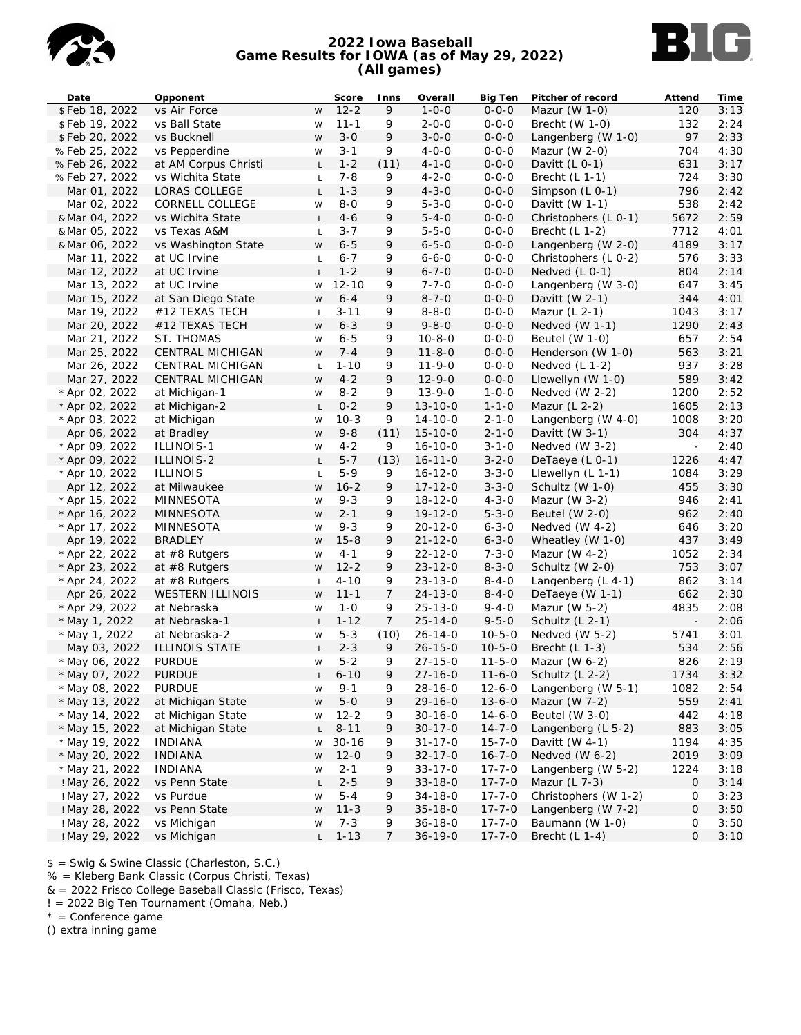

#### **2022 Iowa Baseball Game Results for IOWA (as of May 29, 2022) (All games)**



| Date                  | Opponent                |                | Score      | Inns           | Overall       | <b>Big Ten</b> | Pitcher of record      | Attend                   | Time |
|-----------------------|-------------------------|----------------|------------|----------------|---------------|----------------|------------------------|--------------------------|------|
| \$Feb 18, 2022        | vs Air Force            | W              | $12 - 2$   | 9              | $1 - 0 - 0$   | $0 - 0 - 0$    | Mazur (W $1-0$ )       | 120                      | 3:13 |
| \$Feb 19, 2022        | vs Ball State           | W              | $11 - 1$   | 9              | $2 - 0 - 0$   | $0 - 0 - 0$    | Brecht (W 1-0)         | 132                      | 2:24 |
| \$Feb 20, 2022        | vs Bucknell             | W              | $3 - 0$    | 9              | $3 - 0 - 0$   | $0 - 0 - 0$    | Langenberg (W 1-0)     | 97                       | 2:33 |
| %Feb 25, 2022         | vs Pepperdine           | W              | $3 - 1$    | 9              | $4 - 0 - 0$   | $0 - 0 - 0$    | Mazur (W $2-0$ )       | 704                      | 4:30 |
| %Feb 26, 2022         | at AM Corpus Christi    | $\mathsf{L}$   | $1 - 2$    | (11)           | $4 - 1 - 0$   | $0 - 0 - 0$    | Davitt $(L 0-1)$       | 631                      | 3:17 |
| %Feb 27, 2022         | vs Wichita State        | $\mathsf{L}$   | $7 - 8$    | 9              | $4 - 2 - 0$   | $0 - 0 - 0$    | Brecht $(L 1-1)$       | 724                      | 3:30 |
| Mar 01, 2022          | LORAS COLLEGE           | $\mathsf{L}$   | $1 - 3$    | 9              | $4 - 3 - 0$   | $0 - 0 - 0$    | Simpson (L 0-1)        | 796                      | 2:42 |
| Mar 02, 2022          | CORNELL COLLEGE         | W              | $8 - 0$    | 9              | $5 - 3 - 0$   | $0 - 0 - 0$    | Davitt $(W 1-1)$       | 538                      | 2:42 |
| & Mar 04, 2022        | vs Wichita State        | $\mathsf{L}$   | $4 - 6$    | 9              | $5 - 4 - 0$   | $0 - 0 - 0$    | Christophers (L 0-1)   | 5672                     | 2:59 |
| & Mar 05, 2022        | vs Texas A&M            | $\mathsf{L}$   | $3 - 7$    | 9              | $5 - 5 - 0$   | $0 - 0 - 0$    | Brecht $(L 1-2)$       | 7712                     | 4:01 |
| & Mar 06, 2022        | vs Washington State     | W              | $6 - 5$    | 9              | $6 - 5 - 0$   | $0 - 0 - 0$    | Langenberg (W 2-0)     | 4189                     | 3:17 |
| Mar 11, 2022          | at UC Irvine            | $\mathsf L$    | $6 - 7$    | 9              | $6 - 6 - 0$   | $0 - 0 - 0$    | Christophers (L 0-2)   | 576                      | 3:33 |
| Mar 12, 2022          | at UC Irvine            | $\mathsf{L}$   | $1 - 2$    | 9              | $6 - 7 - 0$   | $0 - 0 - 0$    | Nedved $(L 0-1)$       | 804                      | 2:14 |
| Mar 13, 2022          | at UC Irvine            | W              | $12 - 10$  | 9              | $7 - 7 - 0$   | $0 - 0 - 0$    | Langenberg (W 3-0)     | 647                      | 3:45 |
| Mar 15, 2022          | at San Diego State      | W              | $6 - 4$    | 9              | $8 - 7 - 0$   | $0 - 0 - 0$    | Davitt (W $2-1$ )      | 344                      | 4:01 |
| Mar 19, 2022          | #12 TEXAS TECH          | $\mathsf{L}$   | $3 - 11$   | 9              | $8 - 8 - 0$   | $0 - 0 - 0$    | Mazur $(L 2-1)$        | 1043                     | 3:17 |
| Mar 20, 2022          | #12 TEXAS TECH          | W              | $6 - 3$    | 9              | $9 - 8 - 0$   | $0 - 0 - 0$    | Nedved (W 1-1)         | 1290                     | 2:43 |
| Mar 21, 2022          | ST. THOMAS              | W              | $6 - 5$    | 9              | $10 - 8 - 0$  | $0 - 0 - 0$    | Beutel $(W 1-0)$       | 657                      | 2:54 |
| Mar 25, 2022          | CENTRAL MICHIGAN        | W              | $7 - 4$    | 9              | $11 - 8 - 0$  | $0 - 0 - 0$    | Henderson (W 1-0)      | 563                      | 3:21 |
| Mar 26, 2022          | CENTRAL MICHIGAN        |                | $1 - 10$   | 9              | $11 - 9 - 0$  | $0 - 0 - 0$    | Nedved $(L 1-2)$       | 937                      | 3:28 |
| Mar 27, 2022          |                         | $\mathsf L$    |            |                |               | $0 - 0 - 0$    |                        | 589                      |      |
|                       | CENTRAL MICHIGAN        | W              | $4 - 2$    | 9              | $12 - 9 - 0$  |                | Llewellyn (W 1-0)      |                          | 3:42 |
| * Apr 02, 2022        | at Michigan-1           | W              | $8 - 2$    | 9              | $13 - 9 - 0$  | $1 - 0 - 0$    | Nedved $(W 2-2)$       | 1200                     | 2:52 |
| * Apr 02, 2022        | at Michigan-2           | $\mathsf{L}$   | $0 - 2$    | 9              | $13 - 10 - 0$ | $1 - 1 - 0$    | Mazur $(L 2-2)$        | 1605                     | 2:13 |
| * Apr 03, 2022        | at Michigan             | W              | $10-3$     | 9              | $14 - 10 - 0$ | $2 - 1 - 0$    | Langenberg (W 4-0)     | 1008                     | 3:20 |
| Apr 06, 2022          | at Bradley              | ${\sf W}$      | $9 - 8$    | (11)           | $15 - 10 - 0$ | $2 - 1 - 0$    | Davitt (W $3-1$ )      | 304                      | 4:37 |
| * Apr 09, 2022        | ILLINOIS-1              | W              | $4 - 2$    | 9              | $16 - 10 - 0$ | $3 - 1 - 0$    | Nedved (W 3-2)         | $\sim$                   | 2:40 |
| * Apr 09, 2022        | ILLINOIS-2              | $\mathsf{L}^-$ | $5 - 7$    | (13)           | $16 - 11 - 0$ | $3 - 2 - 0$    | DeTaeye (L 0-1)        | 1226                     | 4:47 |
| * Apr 10, 2022        | <b>ILLINOIS</b>         | $\mathsf L$    | $5 - 9$    | 9              | $16 - 12 - 0$ | $3 - 3 - 0$    | Llewellyn (L 1-1)      | 1084                     | 3:29 |
| Apr 12, 2022          | at Milwaukee            | ${\sf W}$      | $16 - 2$   | 9              | $17 - 12 - 0$ | $3 - 3 - 0$    | Schultz (W 1-0)        | 455                      | 3:30 |
| * Apr 15, 2022        | MINNESOTA               | W              | $9 - 3$    | 9              | $18 - 12 - 0$ | $4 - 3 - 0$    | Mazur (W $3-2$ )       | 946                      | 2:41 |
| * Apr 16, 2022        | MINNESOTA               | W              | $2 - 1$    | 9              | $19 - 12 - 0$ | $5 - 3 - 0$    | Beutel (W 2-0)         | 962                      | 2:40 |
| * Apr 17, 2022        | MINNESOTA               | W              | $9 - 3$    | 9              | $20 - 12 - 0$ | $6 - 3 - 0$    | Nedved $(W 4-2)$       | 646                      | 3:20 |
| Apr 19, 2022          | <b>BRADLEY</b>          | W              | $15 - 8$   | 9              | $21 - 12 - 0$ | $6 - 3 - 0$    | Wheatley (W 1-0)       | 437                      | 3:49 |
| * Apr 22, 2022        | at $#8$ Rutgers         | W              | $4 - 1$    | 9              | $22 - 12 - 0$ | $7 - 3 - 0$    | Mazur (W 4-2)          | 1052                     | 2:34 |
| * Apr 23, 2022        | at $#8$ Rutgers         | W              | $12 - 2$   | 9              | $23 - 12 - 0$ | $8 - 3 - 0$    | Schultz (W 2-0)        | 753                      | 3:07 |
| * Apr 24, 2022        | at #8 Rutgers           | $\mathsf L$    | $4 - 10$   | 9              | $23 - 13 - 0$ | $8 - 4 - 0$    | Langenberg (L 4-1)     | 862                      | 3:14 |
| Apr 26, 2022          | <b>WESTERN ILLINOIS</b> | W              | $11 - 1$   | $\overline{7}$ | $24 - 13 - 0$ | $8 - 4 - 0$    | DeTaeye (W 1-1)        | 662                      | 2:30 |
| * Apr 29, 2022        | at Nebraska             | W              | $1 - 0$    | 9              | $25 - 13 - 0$ | $9 - 4 - 0$    | Mazur (W 5-2)          | 4835                     | 2:08 |
| * May 1, 2022         | at Nebraska-1           | $\mathsf{L}^-$ | $1 - 12$   | 7              | $25 - 14 - 0$ | $9 - 5 - 0$    | Schultz $(L 2-1)$      | $\overline{\phantom{a}}$ | 2:06 |
| * May 1, 2022         | at Nebraska-2           | W              | $5 - 3$    | (10)           | $26 - 14 - 0$ | $10 - 5 - 0$   | Nedved (W 5-2)         | 5741                     | 3:01 |
| May 03, 2022          | ILLINOIS STATE          | $\mathsf{L}$   | $2 - 3$    | 9              | $26 - 15 - 0$ | $10 - 5 - 0$   | Brecht $(L 1-3)$       | 534                      | 2:56 |
| * May 06, 2022        | <b>PURDUE</b>           | W              | $5 - 2$    | 9              | $27 - 15 - 0$ | $11 - 5 - 0$   | Mazur (W $6-2$ )       | 826                      | 2:19 |
| * May 07, 2022 PURDUE |                         |                | $L$ 6-10 9 |                | $27 - 16 - 0$ |                | 11-6-0 Schultz (L 2-2) | 1734                     | 3:32 |
| * May 08, 2022        | <b>PURDUE</b>           | W              | $9 - 1$    | 9              | $28 - 16 - 0$ | $12 - 6 - 0$   | Langenberg (W 5-1)     | 1082                     | 2:54 |
| * May 13, 2022        | at Michigan State       | W              | $5 - 0$    | 9              | $29 - 16 - 0$ | $13 - 6 - 0$   | Mazur (W 7-2)          | 559                      | 2:41 |
| * May 14, 2022        | at Michigan State       | W              | $12 - 2$   | 9              | $30 - 16 - 0$ | $14 - 6 - 0$   | Beutel (W 3-0)         | 442                      | 4:18 |
| * May 15, 2022        | at Michigan State       | L              | $8 - 11$   | 9              | $30 - 17 - 0$ | $14 - 7 - 0$   | Langenberg (L 5-2)     | 883                      | 3:05 |
| * May 19, 2022        | <b>INDIANA</b>          | W              | $30 - 16$  | 9              | $31 - 17 - 0$ | $15 - 7 - 0$   | Davitt (W $4-1$ )      | 1194                     | 4:35 |
| * May 20, 2022        | <b>INDIANA</b>          | W              | $12 - 0$   | 9              | $32 - 17 - 0$ | $16 - 7 - 0$   | Nedved (W 6-2)         | 2019                     | 3:09 |
| * May 21, 2022        | <b>INDIANA</b>          | W              | $2 - 1$    | 9              | $33 - 17 - 0$ | $17 - 7 - 0$   | Langenberg (W 5-2)     | 1224                     | 3:18 |
| ! May 26, 2022        | vs Penn State           | L              | $2 - 5$    | 9              | $33 - 18 - 0$ | $17 - 7 - 0$   | Mazur (L 7-3)          | 0                        | 3:14 |
| ! May 27, 2022        | vs Purdue               | W              | $5 - 4$    | 9              | $34 - 18 - 0$ | $17 - 7 - 0$   | Christophers (W 1-2)   | 0                        | 3:23 |
| ! May 28, 2022        | vs Penn State           | W              | $11 - 3$   | 9              | $35 - 18 - 0$ | $17 - 7 - 0$   | Langenberg (W 7-2)     | 0                        | 3:50 |
| ! May 28, 2022        | vs Michigan             | W              | $7 - 3$    | 9              | $36 - 18 - 0$ | $17 - 7 - 0$   | Baumann (W 1-0)        | 0                        | 3:50 |
| ! May 29, 2022        | vs Michigan             | L.             | $1 - 13$   | 7              | $36 - 19 - 0$ | $17 - 7 - 0$   | Brecht $(L 1-4)$       | 0                        | 3:10 |
|                       |                         |                |            |                |               |                |                        |                          |      |

\$ = Swig & Swine Classic (Charleston, S.C.)

% = Kleberg Bank Classic (Corpus Christi, Texas)

& = 2022 Frisco College Baseball Classic (Frisco, Texas)

! = 2022 Big Ten Tournament (Omaha, Neb.)

 $*$  = Conference game

() extra inning game